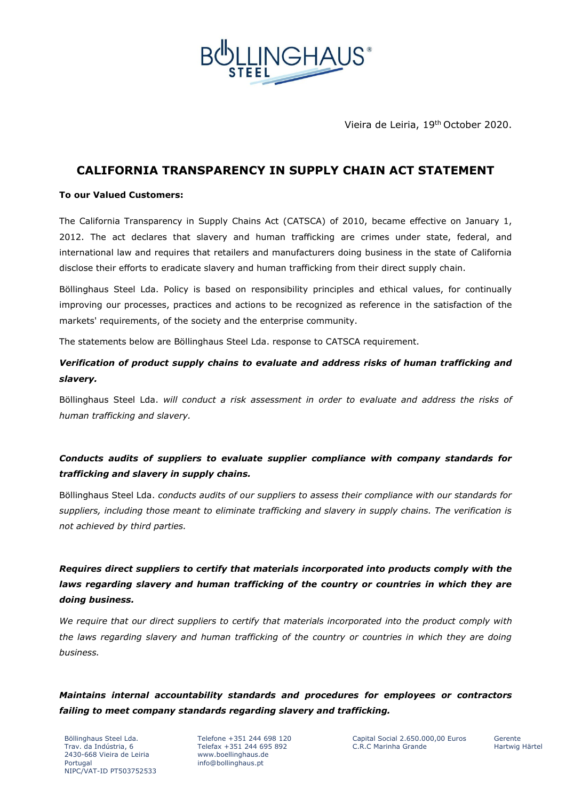

Vieira de Leiria, 19th October 2020.

# **CALIFORNIA TRANSPARENCY IN SUPPLY CHAIN ACT STATEMENT**

#### **To our Valued Customers:**

The California Transparency in Supply Chains Act (CATSCA) of 2010, became effective on January 1, 2012. The act declares that slavery and human trafficking are crimes under state, federal, and international law and requires that retailers and manufacturers doing business in the state of California disclose their efforts to eradicate slavery and human trafficking from their direct supply chain.

Böllinghaus Steel Lda. Policy is based on responsibility principles and ethical values, for continually improving our processes, practices and actions to be recognized as reference in the satisfaction of the markets' requirements, of the society and the enterprise community.

The statements below are Böllinghaus Steel Lda. response to CATSCA requirement.

## *Verification of product supply chains to evaluate and address risks of human trafficking and slavery.*

Böllinghaus Steel Lda. *will conduct a risk assessment in order to evaluate and address the risks of human trafficking and slavery.*

### *Conducts audits of suppliers to evaluate supplier compliance with company standards for trafficking and slavery in supply chains.*

Böllinghaus Steel Lda. *conducts audits of our suppliers to assess their compliance with our standards for suppliers, including those meant to eliminate trafficking and slavery in supply chains. The verification is not achieved by third parties.*

# *Requires direct suppliers to certify that materials incorporated into products comply with the*  laws regarding slavery and human trafficking of the country or countries in which they are *doing business.*

*We require that our direct suppliers to certify that materials incorporated into the product comply with the laws regarding slavery and human trafficking of the country or countries in which they are doing business.*

# *Maintains internal accountability standards and procedures for employees or contractors failing to meet company standards regarding slavery and trafficking.*

Böllinghaus Steel Lda. Trav. da Indústria, 6 2430-668 Vieira de Leiria Portugal NIPC/VAT-ID PT503752533

Telefone +351 244 698 120 Telefax +351 244 695 892 www.boellinghaus.de info@bollinghaus.pt

Capital Social 2.650.000,00 Euros C.R.C Marinha Grande